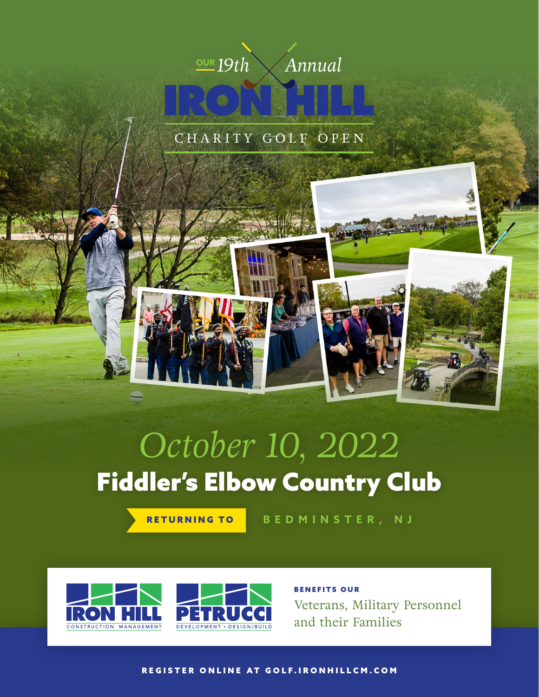

CHARITY GOLF OPEN

# Fiddler's Elbow Country Club *October 10, 2022*

RETURNING TO **BEDMINSTER, NJ**



BENEFITS OUR Veterans, Military Personnel and their Families

[REGISTER ONLINE AT GOLF.IRONHILLCM.COM](https://golf.ironhillcm.com/register/)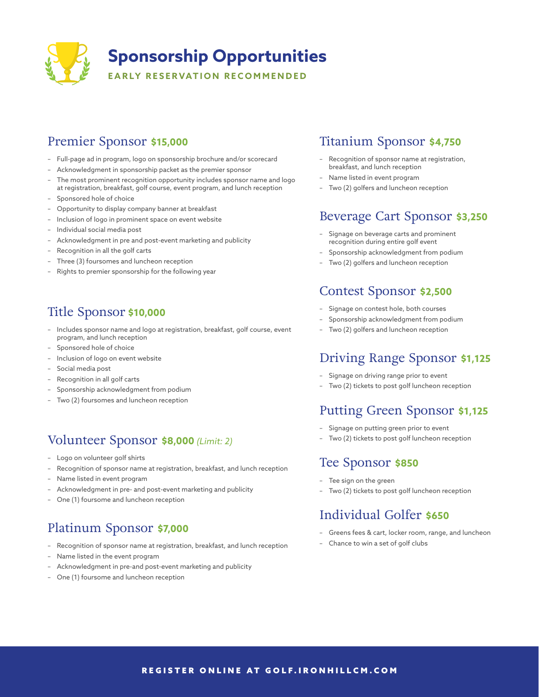

# Premier Sponsor **\$15,000**

- Full-page ad in program, logo on sponsorship brochure and/or scorecard
- Acknowledgment in sponsorship packet as the premier sponsor
- The most prominent recognition opportunity includes sponsor name and logo at registration, breakfast, golf course, event program, and lunch reception
- Sponsored hole of choice
- Opportunity to display company banner at breakfast
- Inclusion of logo in prominent space on event website
- Individual social media post
- Acknowledgment in pre and post-event marketing and publicity
- Recognition in all the golf carts
- Three (3) foursomes and luncheon reception
- Rights to premier sponsorship for the following year

# Title Sponsor **\$10,000**

- Includes sponsor name and logo at registration, breakfast, golf course, event program, and lunch reception
- Sponsored hole of choice
- Inclusion of logo on event website
- Social media post
- Recognition in all golf carts
- Sponsorship acknowledgment from podium
- Two (2) foursomes and luncheon reception

# Volunteer Sponsor **\$8,000** *(Limit: 2)*

- Logo on volunteer golf shirts
- Recognition of sponsor name at registration, breakfast, and lunch reception
- Name listed in event program
- Acknowledgment in pre- and post-event marketing and publicity
- One (1) foursome and luncheon reception

# Platinum Sponsor **\$7,000**

- Recognition of sponsor name at registration, breakfast, and lunch reception
- Name listed in the event program
- Acknowledgment in pre-and post-event marketing and publicity
- One (1) foursome and luncheon reception

### Titanium Sponsor **\$4,750**

- Recognition of sponsor name at registration, breakfast, and lunch reception
- Name listed in event program
- Two (2) golfers and luncheon reception

#### Beverage Cart Sponsor **\$3,250**

- Signage on beverage carts and prominent recognition during entire golf event
- Sponsorship acknowledgment from podium
- Two (2) golfers and luncheon reception

# Contest Sponsor **\$2,500**

- Signage on contest hole, both courses
- Sponsorship acknowledgment from podium
- Two (2) golfers and luncheon reception

## Driving Range Sponsor **\$1,125**

- Signage on driving range prior to event
- Two (2) tickets to post golf luncheon reception

# Putting Green Sponsor **\$1,125**

- Signage on putting green prior to event
- Two (2) tickets to post golf luncheon reception

#### Tee Sponsor **\$850**

- Tee sign on the green
- Two (2) tickets to post golf luncheon reception

# Individual Golfer **\$650**

- Greens fees & cart, locker room, range, and luncheon
- Chance to win a set of golf clubs